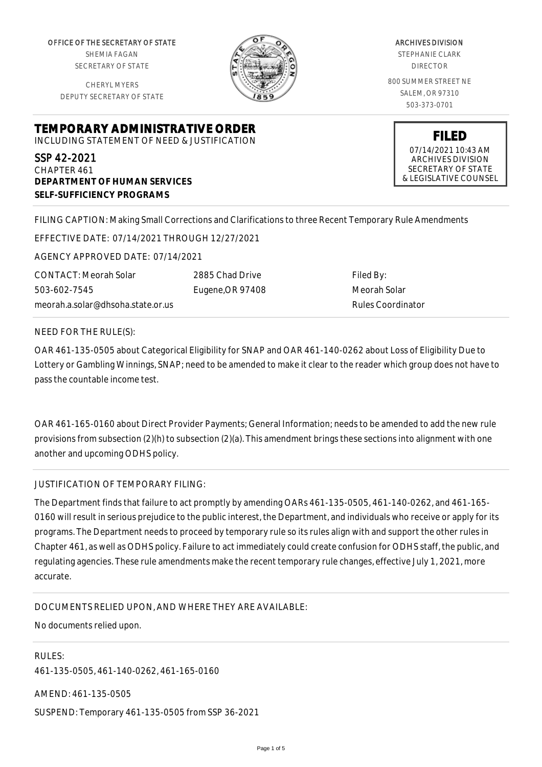OFFICE OF THE SECRETARY OF STATE SHEMIA FAGAN SECRETARY OF STATE

CHERYL MYERS DEPUTY SECRETARY OF STATE



ARCHIVES DIVISION STEPHANIE CLARK DIRECTOR 800 SUMMER STREET NE SALEM, OR 97310 503-373-0701

**TEMPORARY ADMINISTRATIVE ORDER**

INCLUDING STATEMENT OF NEED & JUSTIFICATION

SSP 42-2021 CHAPTER 461 **DEPARTMENT OF HUMAN SERVICES SELF-SUFFICIENCY PROGRAMS**

07/14/2021 10:43 AM ARCHIVES DIVISION SECRETARY OF STATE & LEGISLATIVE COUNSEL

**FILED**

FILING CAPTION: Making Small Corrections and Clarifications to three Recent Temporary Rule Amendments

EFFECTIVE DATE: 07/14/2021 THROUGH 12/27/2021

AGENCY APPROVED DATE: 07/14/2021

CONTACT: Meorah Solar 503-602-7545 meorah.a.solar@dhsoha.state.or.us 2885 Chad Drive Eugene,OR 97408

Filed By: Meorah Solar Rules Coordinator

NEED FOR THE RULE(S):

OAR 461-135-0505 about Categorical Eligibility for SNAP and OAR 461-140-0262 about Loss of Eligibility Due to Lottery or Gambling Winnings, SNAP; need to be amended to make it clear to the reader which group does not have to pass the countable income test.

OAR 461-165-0160 about Direct Provider Payments; General Information; needs to be amended to add the new rule provisions from subsection (2)(h) to subsection (2)(a). This amendment brings these sections into alignment with one another and upcoming ODHS policy.

JUSTIFICATION OF TEMPORARY FILING:

The Department finds that failure to act promptly by amending OARs 461-135-0505, 461-140-0262, and 461-165- 0160 will result in serious prejudice to the public interest, the Department, and individuals who receive or apply for its programs. The Department needs to proceed by temporary rule so its rules align with and support the other rules in Chapter 461, as well as ODHS policy. Failure to act immediately could create confusion for ODHS staff, the public, and regulating agencies. These rule amendments make the recent temporary rule changes, effective July 1, 2021, more accurate.

DOCUMENTS RELIED UPON, AND WHERE THEY ARE AVAILABLE:

No documents relied upon.

RULES: 461-135-0505, 461-140-0262, 461-165-0160 AMEND: 461-135-0505

SUSPEND: Temporary 461-135-0505 from SSP 36-2021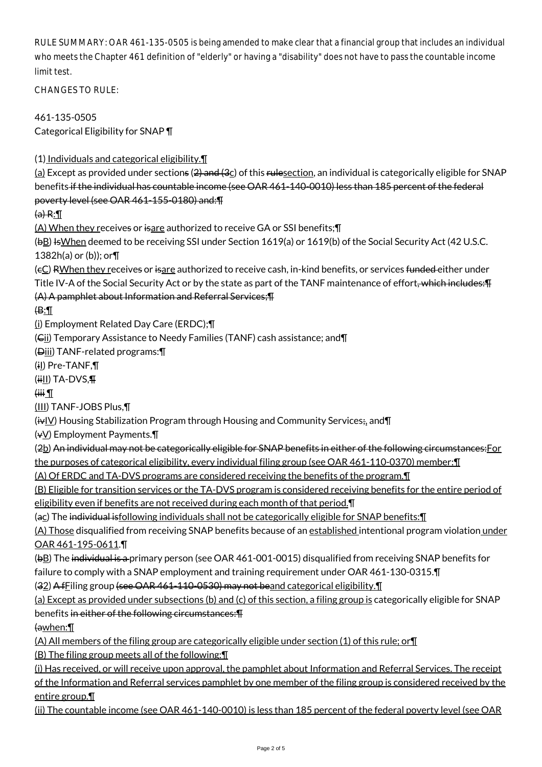RULE SUMMARY: OAR 461-135-0505 is being amended to make clear that a financial group that includes an individual who meets the Chapter 461 definition of "elderly" or having a "disability" does not have to pass the countable income limit test.

 $CHANGFS TO RIIF$ 

461-135-0505 Categorical Eligibility for SNAP ¶

(1) Individuals and categorical eligibility.¶

(a) Except as provided under sections ( $2$ ) and  $(3c)$  of this rulesection, an individual is categorically eligible for SNAP benefits if the individual has countable income (see OAR 461-140-0010) less than 185 percent of the federal poverty level (see OAR 461-155-0180) and:¶

 $(a) R: \mathbb{T}$ 

(A) When they receives or isare authorized to receive GA or SSI benefits; [I]

(bB) Is When deemed to be receiving SSI under Section 1619(a) or 1619(b) of the Social Security Act (42 U.S.C. 1382h(a) or (b)); or¶

(eC) RWhen they receives or isare authorized to receive cash, in-kind benefits, or services funded either under Title IV-A of the Social Security Act or by the state as part of the TANF maintenance of effort<del>, which includes: T</del> (A) A pamphlet about Information and Referral Services;¶

 $\bigoplus$ :

(i) Employment Related Day Care (ERDC);¶

(Cii) Temporary Assistance to Needy Families (TANF) cash assistance; and¶

(Diii) TANF-related programs:¶

(iI) Pre-TANF,¶

 $(iii)$  TA-DVS, $\P$ 

 $\overline{I}$  iiii)

(III) TANF-JOBS Plus,¶

 $(i\overline{v}$  Housing Stabilization Program through Housing and Community Services; and  $\P$ 

(vV) Employment Payments.¶

(2b) An individual may not be categorically eligible for SNAP benefits in either of the following circumstances: For

the purposes of categorical eligibility, every individual filing group (see OAR 461-110-0370) member:¶

(A) Of ERDC and TA-DVS programs are considered receiving the benefits of the program.¶

(B) Eligible for transition services or the TA-DVS program is considered receiving benefits for the entire period of eligibility even if benefits are not received during each month of that period.¶

(ac) The individual isfollowing individuals shall not be categorically eligible for SNAP benefits:¶

(A) Those disqualified from receiving SNAP benefits because of an established intentional program violation under OAR 461-195-0611.¶

(bB) The individual is a primary person (see OAR 461-001-0015) disqualified from receiving SNAP benefits for

failure to comply with a SNAP employment and training requirement under OAR 461-130-0315.¶

(32) A fFiling group (see OAR 461-110-0530) may not beand categorical eligibility.¶

(a) Except as provided under subsections (b) and (c) of this section, a filing group is categorically eligible for SNAP benefits in either of the following circumstances:¶

(awhen:¶

(A) All members of the filing group are categorically eligible under section (1) of this rule; or¶

(B) The filing group meets all of the following:¶

(i) Has received, or will receive upon approval, the pamphlet about Information and Referral Services. The receipt of the Information and Referral services pamphlet by one member of the filing group is considered received by the entire group.¶

(ii) The countable income (see OAR 461-140-0010) is less than 185 percent of the federal poverty level (see OAR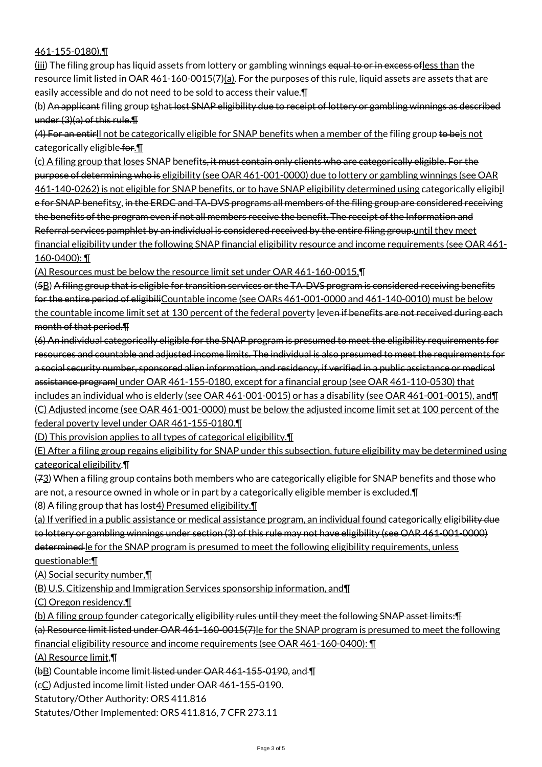## 461-155-0180).¶

(iii) The filing group has liquid assets from lottery or gambling winnings equal to or in excess of less than the resource limit listed in OAR 461-160-0015(7)( $a$ ). For the purposes of this rule, liquid assets are assets that are easily accessible and do not need to be sold to access their value.¶

(b) An applicant filing group tshat lost SNAP eligibility due to receipt of lottery or gambling winnings as described under (3)(a) of this rule.¶

(4) For an entirll not be categorically eligible for SNAP benefits when a member of the filing group to beis not categorically eligible for.

(c) A filing group that loses SNAP benefits, it must contain only clients who are categorically eligible. For the purpose of determining who is eligibility (see OAR 461-001-0000) due to lottery or gambling winnings (see OAR 461-140-0262) is not eligible for SNAP benefits, or to have SNAP eligibility determined using categorically eligibil e for SNAP benefitsy, in the ERDC and TA-DVS programs all members of the filing group are considered receiving the benefits of the program even if not all members receive the benefit. The receipt of the Information and Referral services pamphlet by an individual is considered received by the entire filing group.until they meet financial eligibility under the following SNAP financial eligibility resource and income requirements (see OAR 461- 160-0400): ¶

(A) Resources must be below the resource limit set under OAR 461-160-0015,¶

(5B) A filing group that is eligible for transition services or the TA-DVS program is considered receiving benefits for the entire period of eligibiliCountable income (see OARs 461-001-0000 and 461-140-0010) must be below the countable income limit set at 130 percent of the federal poverty leven if benefits are not received during each month of that period.¶

(6) An individual categorically eligible for the SNAP program is presumed to meet the eligibility requirements for resources and countable and adjusted income limits. The individual is also presumed to meet the requirements for a social security number, sponsored alien information, and residency, if verified in a public assistance or medical assistance programl under OAR 461-155-0180, except for a financial group (see OAR 461-110-0530) that includes an individual who is elderly (see OAR 461-001-0015) or has a disability (see OAR 461-001-0015), and¶ (C) Adjusted income (see OAR 461-001-0000) must be below the adjusted income limit set at 100 percent of the

federal poverty level under OAR 461-155-0180.¶

(D) This provision applies to all types of categorical eligibility.¶

(E) After a filing group regains eligibility for SNAP under this subsection, future eligibility may be determined using categorical eligibility.¶

(73) When a filing group contains both members who are categorically eligible for SNAP benefits and those who are not, a resource owned in whole or in part by a categorically eligible member is excluded.¶

(8) A filing group that has lost4) Presumed eligibility.¶

(a) If verified in a public assistance or medical assistance program, an individual found categorically eligibility due to lottery or gambling winnings under section (3) of this rule may not have eligibility (see OAR 461-001-0000) determined le for the SNAP program is presumed to meet the following eligibility requirements, unless questionable:¶

(A) Social security number,¶

(B) U.S. Citizenship and Immigration Services sponsorship information, and¶

(C) Oregon residency.¶

(b) A filing group founder categorically eligibility rules until they meet the following SNAP asset limits: Fi

(a) Resource limit listed under OAR 461-160-0015(7)le for the SNAP program is presumed to meet the following financial eligibility resource and income requirements (see OAR 461-160-0400): ¶

(A) Resource limit,¶

(bB) Countable income limit listed under OAR 461-155-0190, and ¶

(cC) Adjusted income limit listed under OAR 461-155-0190.

Statutory/Other Authority: ORS 411.816

Statutes/Other Implemented: ORS 411.816, 7 CFR 273.11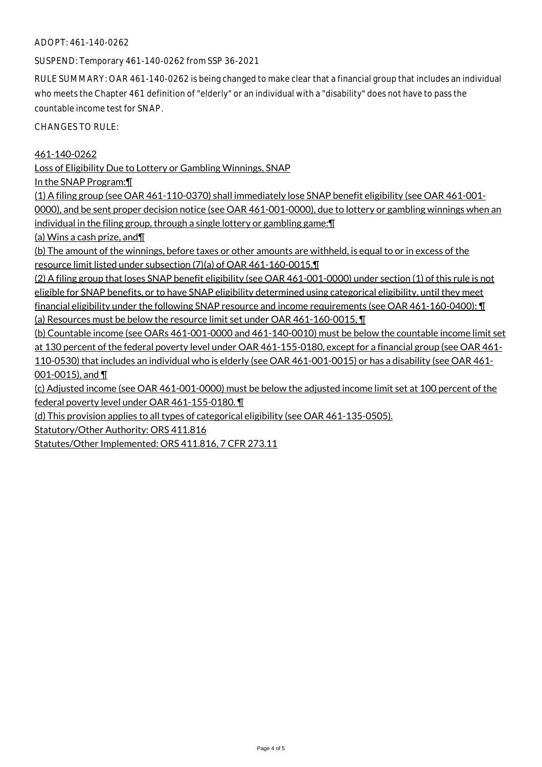## ADOPT: 461-140-0262

SUSPEND: Temporary 461-140-0262 from SSP 36-2021

RULE SUMMARY: OAR 461-140-0262 is being changed to make clear that a financial group that includes an individual who meets the Chapter 461 definition of "elderly" or an individual with a "disability" does not have to pass the countable income test for SNAP.

CHANGES TO RULE:

461-140-0262

Loss of Eligibility Due to Lottery or Gambling Winnings, SNAP

In the SNAP Program:¶

(1) A filing group (see OAR 461-110-0370) shall immediately lose SNAP benefit eligibility (see OAR 461-001- 0000), and be sent proper decision notice (see OAR 461-001-0000), due to lottery or gambling winnings when an individual in the filing group, through a single lottery or gambling game:¶

(a) Wins a cash prize, and¶

(b) The amount of the winnings, before taxes or other amounts are withheld, is equal to or in excess of the resource limit listed under subsection (7)(a) of OAR 461-160-0015.¶

(2) A filing group that loses SNAP benefit eligibility (see OAR 461-001-0000) under section (1) of this rule is not eligible for SNAP benefits, or to have SNAP eligibility determined using categorical eligibility, until they meet financial eligibility under the following SNAP resource and income requirements (see OAR 461-160-0400): ¶ (a) Resources must be below the resource limit set under OAR 461-160-0015, ¶

(b) Countable income (see OARs 461-001-0000 and 461-140-0010) must be below the countable income limit set at 130 percent of the federal poverty level under OAR 461-155-0180, except for a financial group (see OAR 461- 110-0530) that includes an individual who is elderly (see OAR 461-001-0015) or has a disability (see OAR 461- 001-0015), and ¶

(c) Adjusted income (see OAR 461-001-0000) must be below the adjusted income limit set at 100 percent of the federal poverty level under OAR 461-155-0180. ¶

(d) This provision applies to all types of categorical eligibility (see OAR 461-135-0505).

Statutory/Other Authority: ORS 411.816

Statutes/Other Implemented: ORS 411.816, 7 CFR 273.11